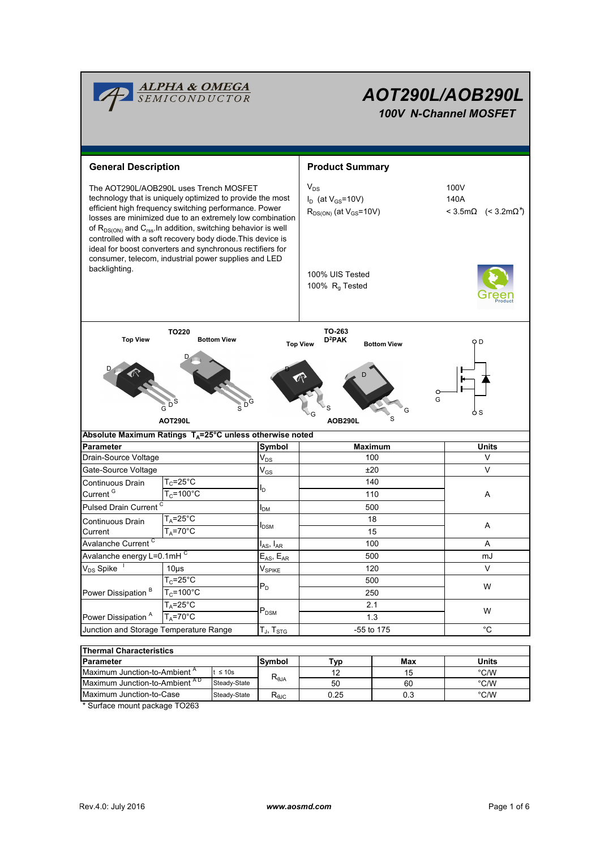| <b>ALPHA &amp; OMEGA</b><br>SEMICONDUCTOR                                                                                                                                                                                                                                                                                                                                                                                                                                                               |                                                                                    |                                                                                                          | AOT290L/AOB290L<br>100V N-Channel MOSFET                                                                                 |                                                 |                   |  |  |
|---------------------------------------------------------------------------------------------------------------------------------------------------------------------------------------------------------------------------------------------------------------------------------------------------------------------------------------------------------------------------------------------------------------------------------------------------------------------------------------------------------|------------------------------------------------------------------------------------|----------------------------------------------------------------------------------------------------------|--------------------------------------------------------------------------------------------------------------------------|-------------------------------------------------|-------------------|--|--|
|                                                                                                                                                                                                                                                                                                                                                                                                                                                                                                         |                                                                                    |                                                                                                          |                                                                                                                          |                                                 |                   |  |  |
| <b>General Description</b>                                                                                                                                                                                                                                                                                                                                                                                                                                                                              |                                                                                    |                                                                                                          | <b>Product Summary</b>                                                                                                   |                                                 |                   |  |  |
| The AOT290L/AOB290L uses Trench MOSFET<br>technology that is uniquely optimized to provide the most<br>efficient high frequency switching performance. Power<br>losses are minimized due to an extremely low combination<br>of $R_{DS(ON)}$ and $C_{rss}$ . In addition, switching behavior is well<br>controlled with a soft recovery body diode. This device is<br>ideal for boost converters and synchronous rectifiers for<br>consumer, telecom, industrial power supplies and LED<br>backlighting. |                                                                                    |                                                                                                          | $V_{DS}$<br>$I_D$ (at $V_{GS}$ =10V)<br>$R_{DS(ON)}$ (at $V_{GS}$ =10V)<br>100% UIS Tested<br>100% R <sub>q</sub> Tested | 100V<br>140A<br>< 3.5mΩ (< 3.2mΩ <sup>*</sup> ) |                   |  |  |
| <b>Top View</b>                                                                                                                                                                                                                                                                                                                                                                                                                                                                                         | TO220                                                                              | <b>Bottom View</b>                                                                                       | TO-263<br>D <sup>2</sup> PAK<br><b>Top View</b>                                                                          | <b>Bottom View</b>                              | оD                |  |  |
|                                                                                                                                                                                                                                                                                                                                                                                                                                                                                                         | $\overset{\triangleleft}{\mathsf{G}}^{\mathsf{d}}\mathsf{D}$<br><b>AOT290L</b>     |                                                                                                          | AOB290L                                                                                                                  | G<br>S                                          | G<br>o S          |  |  |
| Absolute Maximum Ratings $T_A = 25^\circ C$ unless otherwise noted<br>Symbol                                                                                                                                                                                                                                                                                                                                                                                                                            |                                                                                    |                                                                                                          |                                                                                                                          |                                                 |                   |  |  |
|                                                                                                                                                                                                                                                                                                                                                                                                                                                                                                         | Parameter                                                                          |                                                                                                          | <b>Maximum</b><br>100                                                                                                    |                                                 | <b>Units</b><br>V |  |  |
| Drain-Source Voltage                                                                                                                                                                                                                                                                                                                                                                                                                                                                                    |                                                                                    | $V_{DS}$<br>$\mathsf{V}_{\mathsf{GS}}$                                                                   |                                                                                                                          |                                                 |                   |  |  |
|                                                                                                                                                                                                                                                                                                                                                                                                                                                                                                         | Gate-Source Voltage                                                                |                                                                                                          | ±20<br>140                                                                                                               |                                                 | V                 |  |  |
|                                                                                                                                                                                                                                                                                                                                                                                                                                                                                                         | $T_c = 25$ °C<br>Continuous Drain<br>Current <sup>G</sup><br>$T_c = 100^{\circ}$ C |                                                                                                          |                                                                                                                          |                                                 |                   |  |  |
|                                                                                                                                                                                                                                                                                                                                                                                                                                                                                                         |                                                                                    |                                                                                                          | 110                                                                                                                      |                                                 | A                 |  |  |
| Pulsed Drain Current <sup>C</sup>                                                                                                                                                                                                                                                                                                                                                                                                                                                                       |                                                                                    | I <sub>DM</sub>                                                                                          | 500                                                                                                                      |                                                 |                   |  |  |
| Continuous Drain                                                                                                                                                                                                                                                                                                                                                                                                                                                                                        | $T_A = 25^\circ C$                                                                 |                                                                                                          | 18                                                                                                                       |                                                 | A                 |  |  |
| Current                                                                                                                                                                                                                                                                                                                                                                                                                                                                                                 | $T_A = 70^\circ C$                                                                 | <b>I</b> <sub>DSM</sub>                                                                                  | 15                                                                                                                       |                                                 |                   |  |  |
| Avalanche Current <sup>C</sup>                                                                                                                                                                                                                                                                                                                                                                                                                                                                          |                                                                                    | $\boldsymbol{\mathsf{I}}_{\mathsf{AS}}, \, \boldsymbol{\mathsf{I}}_{\mathsf{AR}}$<br>$E_{AS}$ , $E_{AR}$ | 100                                                                                                                      |                                                 | Α                 |  |  |
|                                                                                                                                                                                                                                                                                                                                                                                                                                                                                                         | Avalanche energy L=0.1mHC                                                          |                                                                                                          | 500                                                                                                                      |                                                 | mJ                |  |  |
| V <sub>DS</sub> Spike                                                                                                                                                                                                                                                                                                                                                                                                                                                                                   | 10 <sub>µ</sub>                                                                    | $V_{\mathsf{SPIKE}}$                                                                                     | 120<br>500<br>250                                                                                                        |                                                 | V                 |  |  |
|                                                                                                                                                                                                                                                                                                                                                                                                                                                                                                         | $T_c = 25$ °C                                                                      | $P_D$                                                                                                    |                                                                                                                          |                                                 | W                 |  |  |
| Power Dissipation <sup>B</sup>                                                                                                                                                                                                                                                                                                                                                                                                                                                                          | $T_c = 100^{\circ}C$                                                               |                                                                                                          |                                                                                                                          |                                                 |                   |  |  |
|                                                                                                                                                                                                                                                                                                                                                                                                                                                                                                         | $T_A = 25$ °C                                                                      | $\mathsf{P}_\mathsf{DSM}$                                                                                | 2.1                                                                                                                      |                                                 | W                 |  |  |
| Power Dissipation <sup>A</sup>                                                                                                                                                                                                                                                                                                                                                                                                                                                                          | $T_A = 70^\circ C$                                                                 |                                                                                                          | 1.3                                                                                                                      |                                                 |                   |  |  |
| Junction and Storage Temperature Range                                                                                                                                                                                                                                                                                                                                                                                                                                                                  |                                                                                    | $T_{J}$ , $T_{STG}$                                                                                      | -55 to 175                                                                                                               |                                                 | °C                |  |  |
| <b>Thermal Characteristics</b>                                                                                                                                                                                                                                                                                                                                                                                                                                                                          |                                                                                    |                                                                                                          |                                                                                                                          |                                                 |                   |  |  |
| Parameter                                                                                                                                                                                                                                                                                                                                                                                                                                                                                               | Symbol                                                                             | <u>Typ</u>                                                                                               | Max                                                                                                                      | <b>Units</b>                                    |                   |  |  |
| Maximum Junction-to-Ambient <sup>A</sup><br>$t \leq 10s$                                                                                                                                                                                                                                                                                                                                                                                                                                                |                                                                                    |                                                                                                          | 12                                                                                                                       | 15                                              | $\degree$ C/W     |  |  |

| <b>Parameter</b>                                                                                                                                                                                                                                                                                                                                    | lSvmbol                                          | Tvn | Max  | Units |      |  |  |  |
|-----------------------------------------------------------------------------------------------------------------------------------------------------------------------------------------------------------------------------------------------------------------------------------------------------------------------------------------------------|--------------------------------------------------|-----|------|-------|------|--|--|--|
| " IMaximum Junction-to-Ambient                                                                                                                                                                                                                                                                                                                      | $t \leq 10s$                                     |     | 10   |       | °C/W |  |  |  |
| Maximum Junction-to-Ambient AD                                                                                                                                                                                                                                                                                                                      | $\mathsf{R}_{\theta\mathsf{JA}}$<br>Steady-State |     | 50   | 60    | °C/W |  |  |  |
| Maximum Junction-to-Case                                                                                                                                                                                                                                                                                                                            | Steady-State                                     | ™ല⊂ | 0.25 | 0.3   | °C/W |  |  |  |
| $\overline{a}$ , $\overline{a}$ , $\overline{a}$ , $\overline{a}$ , $\overline{a}$ , $\overline{a}$ , $\overline{a}$ , $\overline{a}$ , $\overline{a}$ , $\overline{a}$ , $\overline{a}$ , $\overline{a}$ , $\overline{a}$ , $\overline{a}$ , $\overline{a}$ , $\overline{a}$ , $\overline{a}$ , $\overline{a}$ , $\overline{a}$ , $\overline{a}$ , |                                                  |     |      |       |      |  |  |  |

\* Surface mount package TO263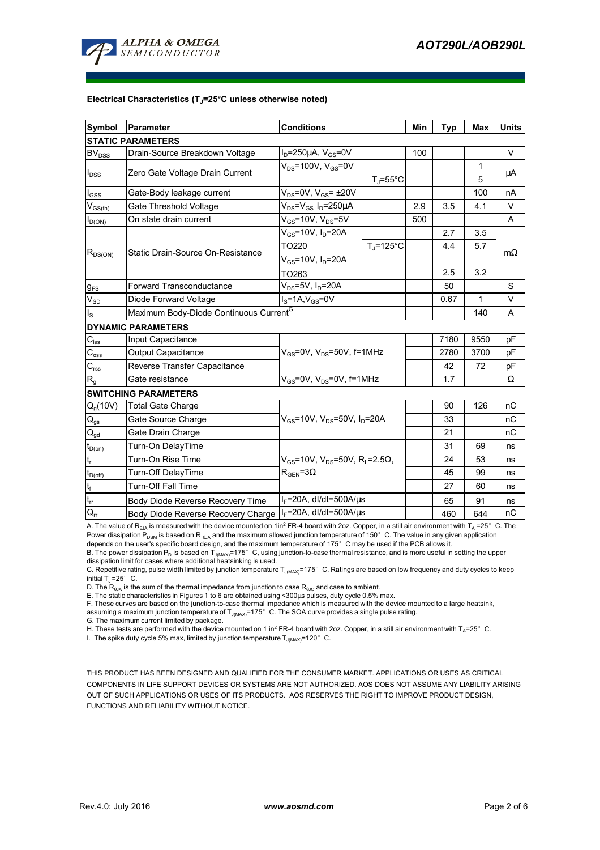

#### **Electrical Characteristics (TJ=25°C unless otherwise noted)**

| Symbol                        | Parameter                                          | <b>Conditions</b>                                                                         |                    | Min  | <b>Typ</b> | <b>Max</b> | <b>Units</b> |  |
|-------------------------------|----------------------------------------------------|-------------------------------------------------------------------------------------------|--------------------|------|------------|------------|--------------|--|
| <b>STATIC PARAMETERS</b>      |                                                    |                                                                                           |                    |      |            |            |              |  |
| <b>BV</b> <sub>DSS</sub>      | Drain-Source Breakdown Voltage                     | $I_D = 250 \mu A$ , $V_{GS} = 0V$                                                         |                    | 100  |            |            | $\vee$       |  |
| $I_{DSS}$                     |                                                    | $V_{DS}$ =100V, $V_{GS}$ =0V                                                              |                    |      |            | 1          |              |  |
|                               | Zero Gate Voltage Drain Current                    |                                                                                           | $T_{\rm J}$ =55°C  |      |            | 5          | μA           |  |
| $I_{GSS}$                     | Gate-Body leakage current                          | $V_{DS}$ =0V, $V_{GS}$ = ±20V                                                             |                    |      |            | 100        | nA           |  |
| $V_{GS(th)}$                  | Gate Threshold Voltage                             | $V_{DS} = V_{GS} I_D = 250 \mu A$                                                         | 2.9                | 3.5  | 4.1        | $\vee$     |              |  |
| $I_{D(ON)}$                   | On state drain current                             | $V_{GS}$ =10V, $V_{DS}$ =5V                                                               |                    | 500  |            |            | A            |  |
| $R_{DS(ON)}$                  |                                                    | $V_{GS}$ =10V, $I_D$ =20A                                                                 |                    |      | 2.7        | 3.5        |              |  |
|                               | Static Drain-Source On-Resistance                  | TO220                                                                                     | $T_{\rm J}$ =125°C |      | 4.4        | 5.7        |              |  |
|                               |                                                    | $V_{GS}$ =10V, $I_D$ =20A                                                                 |                    |      |            |            | $m\Omega$    |  |
|                               |                                                    | TO263                                                                                     |                    | 2.5  | 3.2        |            |              |  |
| $g_{FS}$                      | <b>Forward Transconductance</b>                    | $V_{DS}$ =5V, I <sub>D</sub> =20A                                                         |                    | 50   |            | S          |              |  |
| $V_{SD}$                      | Diode Forward Voltage                              | $I_S = 1A, V_{GS} = 0V$                                                                   |                    | 0.67 | 1          | $\vee$     |              |  |
| $I_{\rm S}$                   | Maximum Body-Diode Continuous Current <sup>G</sup> |                                                                                           |                    |      |            | 140        | A            |  |
|                               | <b>DYNAMIC PARAMETERS</b>                          |                                                                                           |                    |      |            |            |              |  |
| $C_{\mathsf{iss}}$            | Input Capacitance                                  | $V_{GS}$ =0V, $V_{DS}$ =50V, f=1MHz                                                       |                    |      | 7180       | 9550       | pF           |  |
| $\bar{C}_{\underline{oss}}$   | Output Capacitance                                 |                                                                                           |                    |      | 2780       | 3700       | pF           |  |
| $C_{\rm rss}$                 | Reverse Transfer Capacitance                       |                                                                                           |                    |      | 42         | 72         | рF           |  |
| $R_{q}$                       | Gate resistance                                    | $V_{GS}$ =0V, $V_{DS}$ =0V, f=1MHz                                                        |                    |      | 1.7        |            | Ω            |  |
|                               | <b>SWITCHING PARAMETERS</b>                        |                                                                                           |                    |      |            |            |              |  |
| $Q_g(10V)$                    | <b>Total Gate Charge</b>                           | $V_{GS}$ =10V, $V_{DS}$ =50V, $I_D$ =20A                                                  |                    |      | 90         | 126        | nC           |  |
| $\mathsf{Q}_{\mathsf{gs}}$    | Gate Source Charge                                 |                                                                                           |                    |      | 33         |            | nC           |  |
| $Q_{gd}$                      | Gate Drain Charge                                  |                                                                                           |                    |      | 21         |            | nC           |  |
| $t_{D(0n)}$                   | Turn-On DelayTime                                  | $V_{GS}$ =10V, $V_{DS}$ =50V, R <sub>L</sub> =2.5 $\Omega$ ,<br>$\rm R_{GEN}$ =3 $\Omega$ |                    |      | 31         | 69         | ns           |  |
| $t_r$                         | Turn-On Rise Time                                  |                                                                                           |                    |      | 24         | 53         | ns           |  |
| $t_{\text{D(off)}}$           | <b>Turn-Off DelayTime</b>                          |                                                                                           |                    |      | 45         | 99         | ns           |  |
| $t_f$                         | <b>Turn-Off Fall Time</b>                          |                                                                                           |                    |      | 27         | 60         | ns           |  |
| $\mathfrak{t}_{\mathfrak{m}}$ | Body Diode Reverse Recovery Time                   | l <sub>F</sub> =20A, dl/dt=500A/μs                                                        |                    |      | 65         | 91         | ns           |  |
| $\overline{O}$                | Body Diode Reverse Recovery Charge                 | $I_F$ =20A, dl/dt=500A/ $\mu$ s                                                           |                    |      | 460        | 644        | пC           |  |

A. The value of R<sub>BJA</sub> is measured with the device mounted on 1in<sup>2</sup> FR-4 board with 2oz. Copper, in a still air environment with T<sub>A</sub> =25°C. The Power dissipation  $P_{DSM}$  is based on R  $_{\theta_0A}$  and the maximum allowed junction temperature of 150° C. The value in any given application depends on the user's specific board design, and the maximum temperature of 175°C may be used if the PCB allows it.

B. The power dissipation P<sub>D</sub> is based on T<sub>J(MAX)</sub>=175°C, using junction-to-case thermal resistance, and is more useful in setting the upper<br>dissipation limit for cases where additional heatsinking is used.

C. Repetitive rating, pulse width limited by junction temperature T<sub>J(MAX)</sub>=175°C. Ratings are based on low frequency and duty cycles to keep initial  $T_1 = 25^\circ$  C.

D. The  $R_{AIA}$  is the sum of the thermal impedance from junction to case  $R_{AIC}$  and case to ambient.

E. The static characteristics in Figures 1 to 6 are obtained using <300µs pulses, duty cycle 0.5% max.

F. These curves are based on the junction-to-case thermal impedance which is measured with the device mounted to a large heatsink, assuming a maximum junction temperature of  $T_{J(MAX)}$ =175° C. The SOA curve provides a single pulse rating.

G. The maximum current limited by package.

H. These tests are performed with the device mounted on 1 in<sup>2</sup> FR-4 board with 2oz. Copper, in a still air environment with T<sub>A</sub>=25°C.

I. The spike duty cycle 5% max, limited by junction temperature  $T_{J(MAX)}$ =120°C.

THIS PRODUCT HAS BEEN DESIGNED AND QUALIFIED FOR THE CONSUMER MARKET. APPLICATIONS OR USES AS CRITICAL COMPONENTS IN LIFE SUPPORT DEVICES OR SYSTEMS ARE NOT AUTHORIZED. AOS DOES NOT ASSUME ANY LIABILITY ARISING OUT OF SUCH APPLICATIONS OR USES OF ITS PRODUCTS. AOS RESERVES THE RIGHT TO IMPROVE PRODUCT DESIGN, FUNCTIONS AND RELIABILITY WITHOUT NOTICE.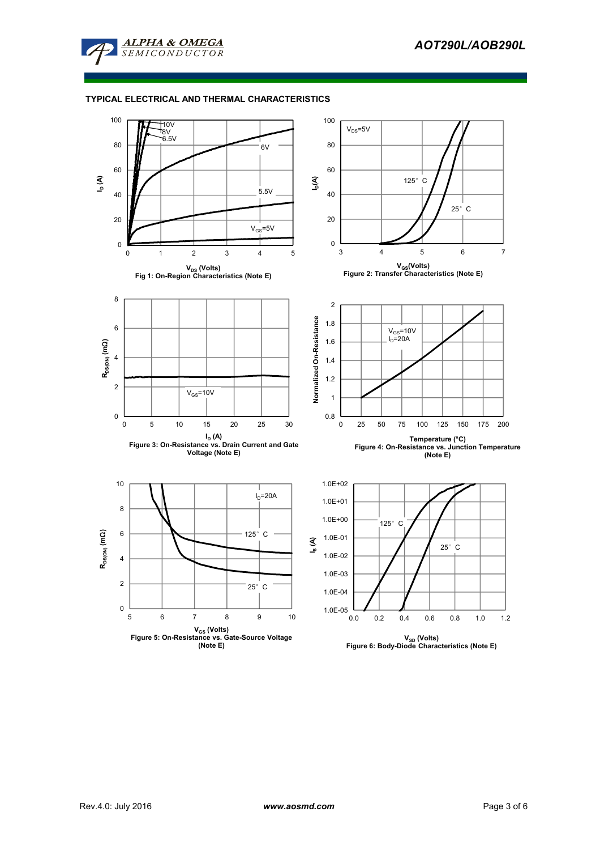

## **TYPICAL ELECTRICAL AND THERMAL CHARACTERISTICS**

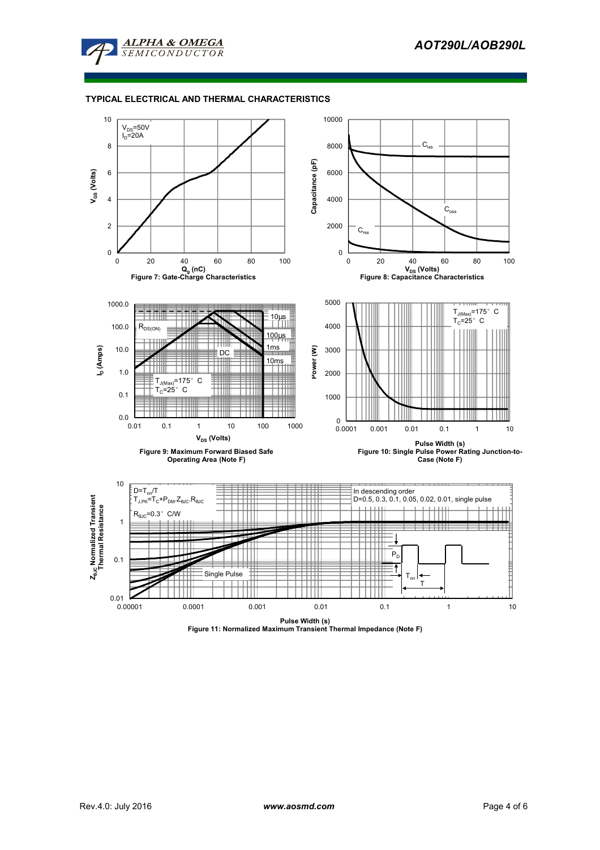

## **TYPICAL ELECTRICAL AND THERMAL CHARACTERISTICS**

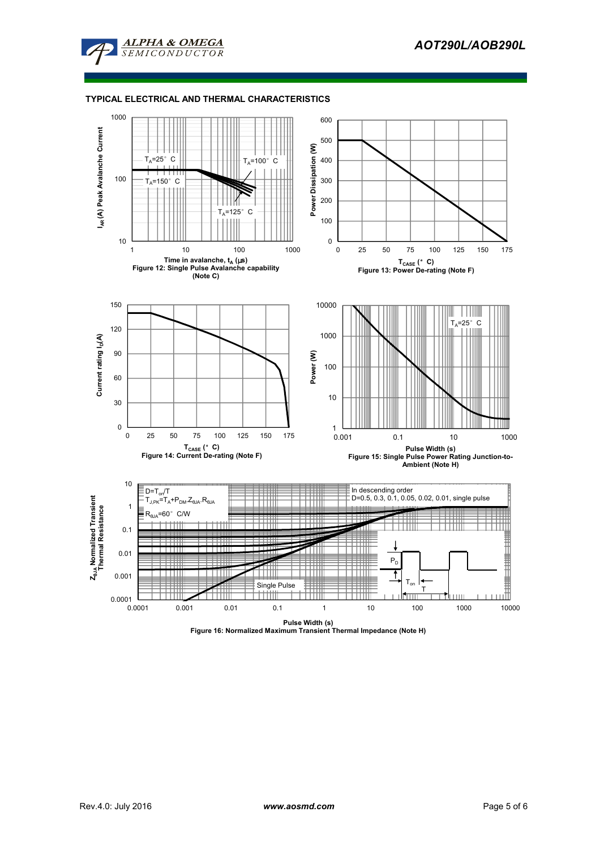

#### **TYPICAL ELECTRICAL AND THERMAL CHARACTERISTICS**